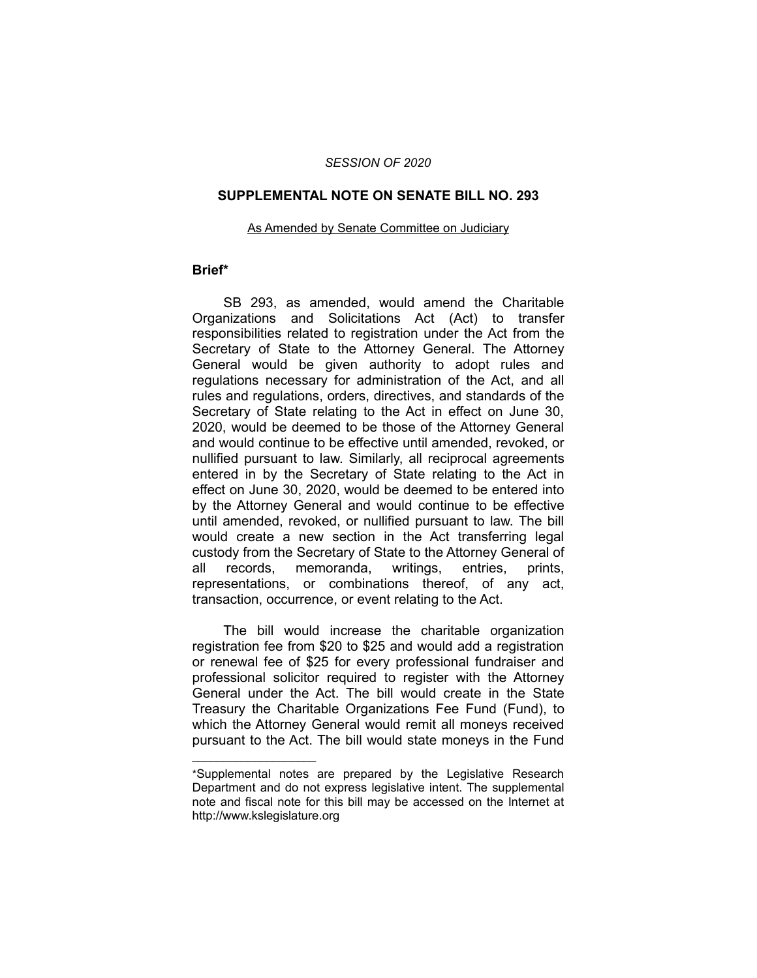## *SESSION OF 2020*

### **SUPPLEMENTAL NOTE ON SENATE BILL NO. 293**

#### As Amended by Senate Committee on Judiciary

## **Brief\***

SB 293, as amended, would amend the Charitable Organizations and Solicitations Act (Act) to transfer responsibilities related to registration under the Act from the Secretary of State to the Attorney General. The Attorney General would be given authority to adopt rules and regulations necessary for administration of the Act, and all rules and regulations, orders, directives, and standards of the Secretary of State relating to the Act in effect on June 30, 2020, would be deemed to be those of the Attorney General and would continue to be effective until amended, revoked, or nullified pursuant to law. Similarly, all reciprocal agreements entered in by the Secretary of State relating to the Act in effect on June 30, 2020, would be deemed to be entered into by the Attorney General and would continue to be effective until amended, revoked, or nullified pursuant to law. The bill would create a new section in the Act transferring legal custody from the Secretary of State to the Attorney General of all records, memoranda, writings, entries, prints, representations, or combinations thereof, of any act, transaction, occurrence, or event relating to the Act.

The bill would increase the charitable organization registration fee from \$20 to \$25 and would add a registration or renewal fee of \$25 for every professional fundraiser and professional solicitor required to register with the Attorney General under the Act. The bill would create in the State Treasury the Charitable Organizations Fee Fund (Fund), to which the Attorney General would remit all moneys received pursuant to the Act. The bill would state moneys in the Fund

 $\overline{\phantom{a}}$  , where  $\overline{\phantom{a}}$  , where  $\overline{\phantom{a}}$ 

<sup>\*</sup>Supplemental notes are prepared by the Legislative Research Department and do not express legislative intent. The supplemental note and fiscal note for this bill may be accessed on the Internet at http://www.kslegislature.org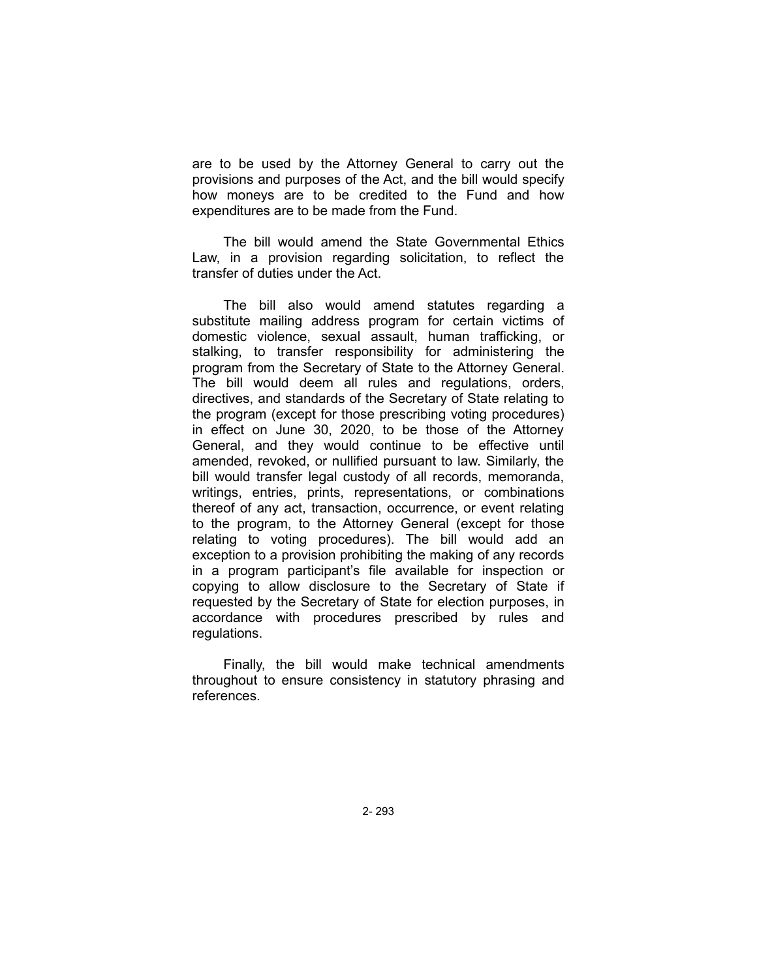are to be used by the Attorney General to carry out the provisions and purposes of the Act, and the bill would specify how moneys are to be credited to the Fund and how expenditures are to be made from the Fund.

The bill would amend the State Governmental Ethics Law, in a provision regarding solicitation, to reflect the transfer of duties under the Act.

The bill also would amend statutes regarding a substitute mailing address program for certain victims of domestic violence, sexual assault, human trafficking, or stalking, to transfer responsibility for administering the program from the Secretary of State to the Attorney General. The bill would deem all rules and regulations, orders, directives, and standards of the Secretary of State relating to the program (except for those prescribing voting procedures) in effect on June 30, 2020, to be those of the Attorney General, and they would continue to be effective until amended, revoked, or nullified pursuant to law. Similarly, the bill would transfer legal custody of all records, memoranda, writings, entries, prints, representations, or combinations thereof of any act, transaction, occurrence, or event relating to the program, to the Attorney General (except for those relating to voting procedures). The bill would add an exception to a provision prohibiting the making of any records in a program participant's file available for inspection or copying to allow disclosure to the Secretary of State if requested by the Secretary of State for election purposes, in accordance with procedures prescribed by rules and regulations.

Finally, the bill would make technical amendments throughout to ensure consistency in statutory phrasing and references.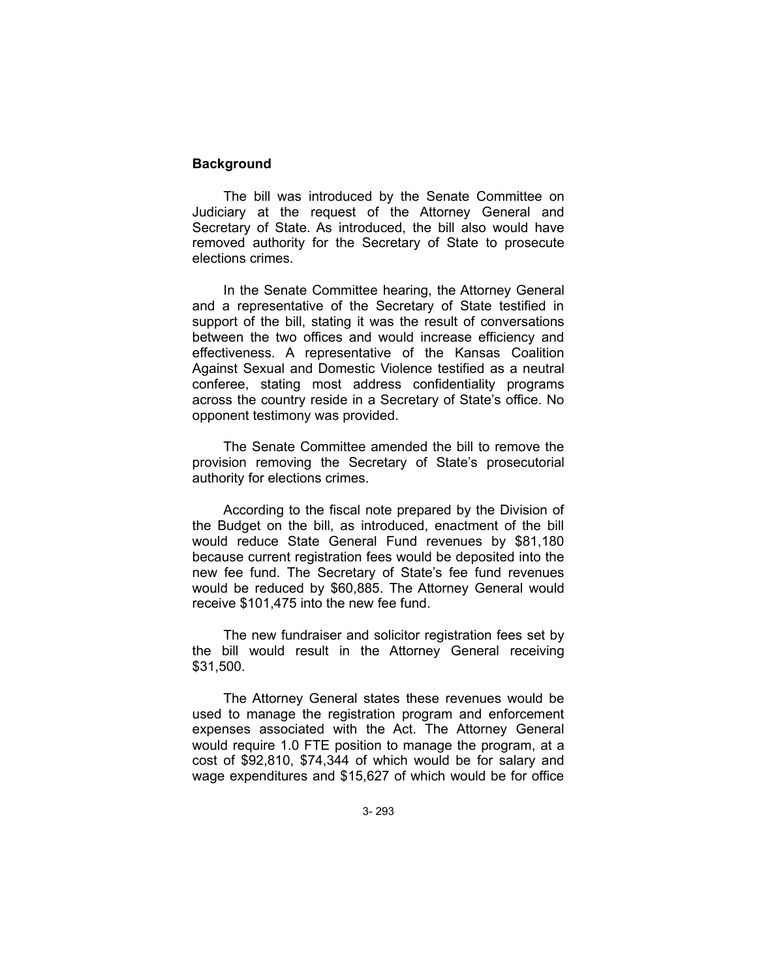# **Background**

The bill was introduced by the Senate Committee on Judiciary at the request of the Attorney General and Secretary of State. As introduced, the bill also would have removed authority for the Secretary of State to prosecute elections crimes.

In the Senate Committee hearing, the Attorney General and a representative of the Secretary of State testified in support of the bill, stating it was the result of conversations between the two offices and would increase efficiency and effectiveness. A representative of the Kansas Coalition Against Sexual and Domestic Violence testified as a neutral conferee, stating most address confidentiality programs across the country reside in a Secretary of State's office. No opponent testimony was provided.

The Senate Committee amended the bill to remove the provision removing the Secretary of State's prosecutorial authority for elections crimes.

According to the fiscal note prepared by the Division of the Budget on the bill, as introduced, enactment of the bill would reduce State General Fund revenues by \$81,180 because current registration fees would be deposited into the new fee fund. The Secretary of State's fee fund revenues would be reduced by \$60,885. The Attorney General would receive \$101,475 into the new fee fund.

The new fundraiser and solicitor registration fees set by the bill would result in the Attorney General receiving \$31,500.

The Attorney General states these revenues would be used to manage the registration program and enforcement expenses associated with the Act. The Attorney General would require 1.0 FTE position to manage the program, at a cost of \$92,810, \$74,344 of which would be for salary and wage expenditures and \$15,627 of which would be for office